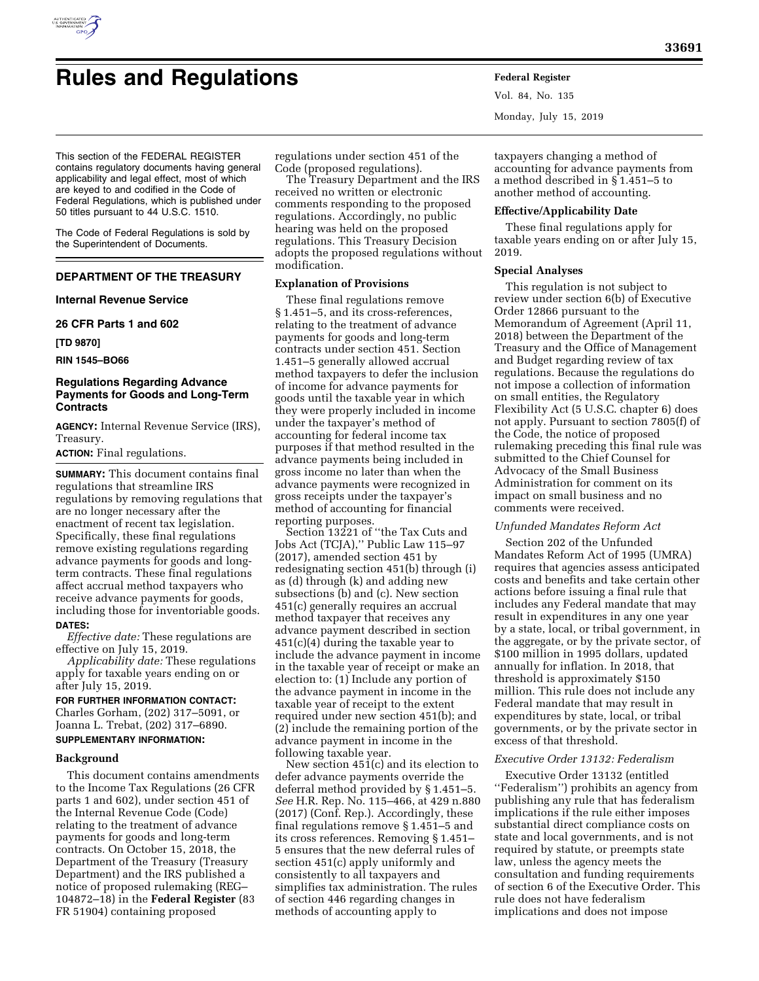

This section of the FEDERAL REGISTER contains regulatory documents having general applicability and legal effect, most of which are keyed to and codified in the Code of Federal Regulations, which is published under 50 titles pursuant to 44 U.S.C. 1510.

The Code of Federal Regulations is sold by the Superintendent of Documents.

# **DEPARTMENT OF THE TREASURY**

# **Internal Revenue Service**

**26 CFR Parts 1 and 602** 

**[TD 9870]** 

**RIN 1545–BO66** 

# **Regulations Regarding Advance Payments for Goods and Long-Term Contracts**

**AGENCY:** Internal Revenue Service (IRS), Treasury.

**ACTION:** Final regulations.

**SUMMARY:** This document contains final regulations that streamline IRS regulations by removing regulations that are no longer necessary after the enactment of recent tax legislation. Specifically, these final regulations remove existing regulations regarding advance payments for goods and longterm contracts. These final regulations affect accrual method taxpayers who receive advance payments for goods, including those for inventoriable goods. **DATES:**

*Effective date:* These regulations are effective on July 15, 2019.

*Applicability date:* These regulations apply for taxable years ending on or after July 15, 2019.

**FOR FURTHER INFORMATION CONTACT:**  Charles Gorham, (202) 317–5091, or Joanna L. Trebat, (202) 317–6890. **SUPPLEMENTARY INFORMATION:** 

### **Background**

This document contains amendments to the Income Tax Regulations (26 CFR parts 1 and 602), under section 451 of the Internal Revenue Code (Code) relating to the treatment of advance payments for goods and long-term contracts. On October 15, 2018, the Department of the Treasury (Treasury Department) and the IRS published a notice of proposed rulemaking (REG– 104872–18) in the **Federal Register** (83 FR 51904) containing proposed

regulations under section 451 of the Code (proposed regulations).

The Treasury Department and the IRS received no written or electronic comments responding to the proposed regulations. Accordingly, no public hearing was held on the proposed regulations. This Treasury Decision adopts the proposed regulations without modification.

## **Explanation of Provisions**

These final regulations remove § 1.451-5, and its cross-references, relating to the treatment of advance payments for goods and long-term contracts under section 451. Section 1.451–5 generally allowed accrual method taxpayers to defer the inclusion of income for advance payments for goods until the taxable year in which they were properly included in income under the taxpayer's method of accounting for federal income tax purposes if that method resulted in the advance payments being included in gross income no later than when the advance payments were recognized in gross receipts under the taxpayer's method of accounting for financial reporting purposes.

Section 13221 of "the Tax Cuts and Jobs Act (TCJA),'' Public Law 115–97 (2017), amended section 451 by redesignating section 451(b) through (i) as (d) through (k) and adding new subsections (b) and (c). New section 451(c) generally requires an accrual method taxpayer that receives any advance payment described in section 451(c)(4) during the taxable year to include the advance payment in income in the taxable year of receipt or make an election to: (1) Include any portion of the advance payment in income in the taxable year of receipt to the extent required under new section 451(b); and (2) include the remaining portion of the advance payment in income in the following taxable year.

New section 451(c) and its election to defer advance payments override the deferral method provided by § 1.451–5. *See* H.R. Rep. No. 115–466, at 429 n.880 (2017) (Conf. Rep.). Accordingly, these final regulations remove § 1.451–5 and its cross references. Removing § 1.451– 5 ensures that the new deferral rules of section 451(c) apply uniformly and consistently to all taxpayers and simplifies tax administration. The rules of section 446 regarding changes in methods of accounting apply to

Vol. 84, No. 135 Monday, July 15, 2019

taxpayers changing a method of accounting for advance payments from a method described in § 1.451–5 to another method of accounting.

#### **Effective/Applicability Date**

These final regulations apply for taxable years ending on or after July 15, 2019.

### **Special Analyses**

This regulation is not subject to review under section 6(b) of Executive Order 12866 pursuant to the Memorandum of Agreement (April 11, 2018) between the Department of the Treasury and the Office of Management and Budget regarding review of tax regulations. Because the regulations do not impose a collection of information on small entities, the Regulatory Flexibility Act (5 U.S.C. chapter 6) does not apply. Pursuant to section 7805(f) of the Code, the notice of proposed rulemaking preceding this final rule was submitted to the Chief Counsel for Advocacy of the Small Business Administration for comment on its impact on small business and no comments were received.

#### *Unfunded Mandates Reform Act*

Section 202 of the Unfunded Mandates Reform Act of 1995 (UMRA) requires that agencies assess anticipated costs and benefits and take certain other actions before issuing a final rule that includes any Federal mandate that may result in expenditures in any one year by a state, local, or tribal government, in the aggregate, or by the private sector, of \$100 million in 1995 dollars, updated annually for inflation. In 2018, that threshold is approximately \$150 million. This rule does not include any Federal mandate that may result in expenditures by state, local, or tribal governments, or by the private sector in excess of that threshold.

#### *Executive Order 13132: Federalism*

Executive Order 13132 (entitled ''Federalism'') prohibits an agency from publishing any rule that has federalism implications if the rule either imposes substantial direct compliance costs on state and local governments, and is not required by statute, or preempts state law, unless the agency meets the consultation and funding requirements of section 6 of the Executive Order. This rule does not have federalism implications and does not impose